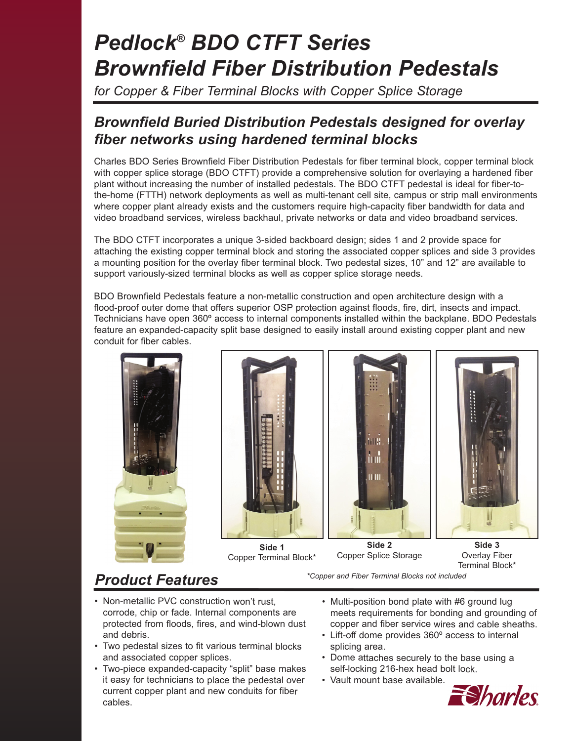# *Pedlock® BDO CTFT Series Brownfield Fiber Distribution Pedestals*

*for Copper & Fiber Terminal Blocks with Copper Splice Storage*

### *Brownfield Buried Distribution Pedestals designed for overlay fiber networks using hardened terminal blocks*

Charles BDO Series Brownfield Fiber Distribution Pedestals for fiber terminal block, copper terminal block with copper splice storage (BDO CTFT) provide a comprehensive solution for overlaying a hardened fiber plant without increasing the number of installed pedestals. The BDO CTFT pedestal is ideal for fiber-tothe-home (FTTH) network deployments as well as multi-tenant cell site, campus or strip mall environments where copper plant already exists and the customers require high-capacity fiber bandwidth for data and video broadband services, wireless backhaul, private networks or data and video broadband services.

The BDO CTFT incorporates a unique 3-sided backboard design; sides 1 and 2 provide space for attaching the existing copper terminal block and storing the associated copper splices and side 3 provides a mounting position for the overlay fiber terminal block. Two pedestal sizes, 10" and 12" are available to support variously-sized terminal blocks as well as copper splice storage needs.

BDO Brownfield Pedestals feature a non-metallic construction and open architecture design with a flood-proof outer dome that offers superior OSP protection against floods, fire, dirt, insects and impact. Technicians have open 360º access to internal components installed within the backplane. BDO Pedestals feature an expanded-capacity split base designed to easily install around existing copper plant and new conduit for fiber cables.









**Side 1** Copper Terminal Block\*

**Side 2** Copper Splice Storage

*\*Copper and Fiber Terminal Blocks not included*

**Side 3** Overlay Fiber Terminal Block\*

## *Product Features*

- Non-metallic PVC construction won't rust, corrode, chip or fade. Internal components are protected from floods, fires, and wind-blown dust and debris.
- Two pedestal sizes to fit various terminal blocks and associated copper splices.
- Two-piece expanded-capacity "split" base makes it easy for technicians to place the pedestal over current copper plant and new conduits for fiber cables.
- Multi-position bond plate with #6 ground lug meets requirements for bonding and grounding of copper and fiber service wires and cable sheaths.
- Lift-off dome provides 360º access to internal splicing area.
- Dome attaches securely to the base using a self-locking 216-hex head bolt lock.
- Vault mount base available.